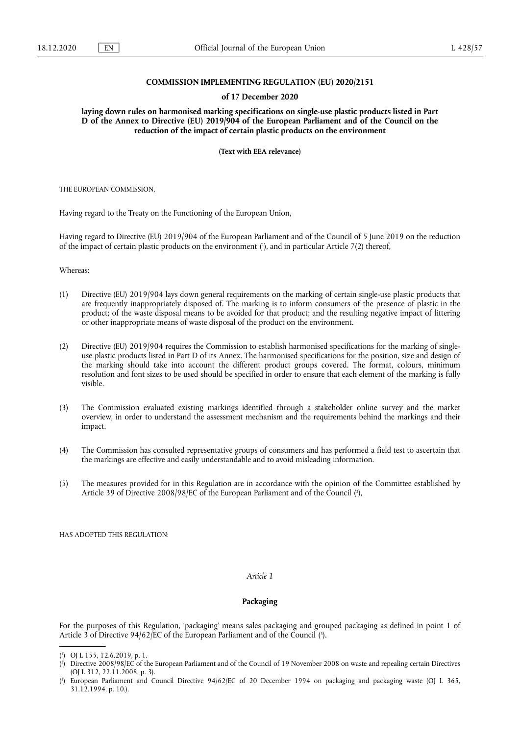## **COMMISSION IMPLEMENTING REGULATION (EU) 2020/2151**

#### **of 17 December 2020**

**laying down rules on harmonised marking specifications on single-use plastic products listed in Part D of the Annex to Directive (EU) 2019/904 of the European Parliament and of the Council on the reduction of the impact of certain plastic products on the environment** 

**(Text with EEA relevance)** 

THE EUROPEAN COMMISSION,

Having regard to the Treaty on the Functioning of the European Union,

<span id="page-0-3"></span>Having regard to Directive (EU) 2019/904 of the European Parliament and of the Council of 5 June 2019 on the reduction of the impact of certain plastic products on the environmen[t \(1](#page-0-0) ), and in particular Article 7(2) thereof,

Whereas:

- (1) Directive (EU) 2019/904 lays down general requirements on the marking of certain single-use plastic products that are frequently inappropriately disposed of. The marking is to inform consumers of the presence of plastic in the product; of the waste disposal means to be avoided for that product; and the resulting negative impact of littering or other inappropriate means of waste disposal of the product on the environment.
- (2) Directive (EU) 2019/904 requires the Commission to establish harmonised specifications for the marking of singleuse plastic products listed in Part D of its Annex. The harmonised specifications for the position, size and design of the marking should take into account the different product groups covered. The format, colours, minimum resolution and font sizes to be used should be specified in order to ensure that each element of the marking is fully visible.
- (3) The Commission evaluated existing markings identified through a stakeholder online survey and the market overview, in order to understand the assessment mechanism and the requirements behind the markings and their impact.
- (4) The Commission has consulted representative groups of consumers and has performed a field test to ascertain that the markings are effective and easily understandable and to avoid misleading information.
- <span id="page-0-4"></span>(5) The measures provided for in this Regulation are in accordance with the opinion of the Committee established by Article 39 of Directive 2008/98/EC of the European Parliament and of the Council (?),

HAS ADOPTED THIS REGULATION:

## *Article 1*

### **Packaging**

<span id="page-0-5"></span>For the purposes of this Regulation, 'packaging' means sales packaging and grouped packaging as defined in point 1 of Article 3 of Directive 94/62/EC of the European Parliament and of the Council [\(3](#page-0-2)).

<span id="page-0-0"></span><sup>(</sup> 1 [\) O](#page-0-3)J L 155, 12.6.2019, p. 1.

<span id="page-0-1"></span><sup>(</sup> 2 [\) D](#page-0-4)irective 2008/98/EC of the European Parliament and of the Council of 19 November 2008 on waste and repealing certain Directives (OJ L 312, 22.11.2008, p. 3).

<span id="page-0-2"></span><sup>(</sup> 3 [\) E](#page-0-5)uropean Parliament and Council Directive 94/62/EC of 20 December 1994 on packaging and packaging waste (OJ L 365, 31.12.1994, p. 10.).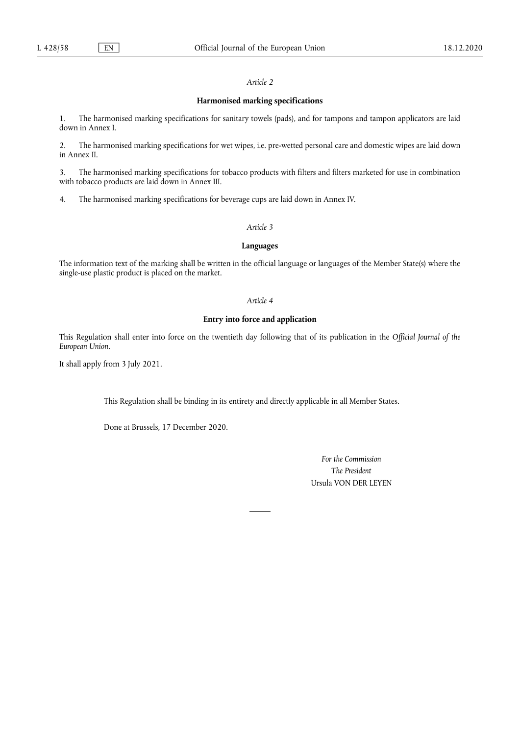## *Article 2*

## **Harmonised marking specifications**

1. The harmonised marking specifications for sanitary towels (pads), and for tampons and tampon applicators are laid down in Annex I.

2. The harmonised marking specifications for wet wipes, i.e. pre-wetted personal care and domestic wipes are laid down in Annex II.

3. The harmonised marking specifications for tobacco products with filters and filters marketed for use in combination with tobacco products are laid down in Annex III.

4. The harmonised marking specifications for beverage cups are laid down in Annex IV.

## *Article 3*

## **Languages**

The information text of the marking shall be written in the official language or languages of the Member State(s) where the single-use plastic product is placed on the market.

### *Article 4*

# **Entry into force and application**

This Regulation shall enter into force on the twentieth day following that of its publication in the *Official Journal of the European Union*.

It shall apply from 3 July 2021.

This Regulation shall be binding in its entirety and directly applicable in all Member States.

Done at Brussels, 17 December 2020.

*For the Commission The President*  Ursula VON DER LEYEN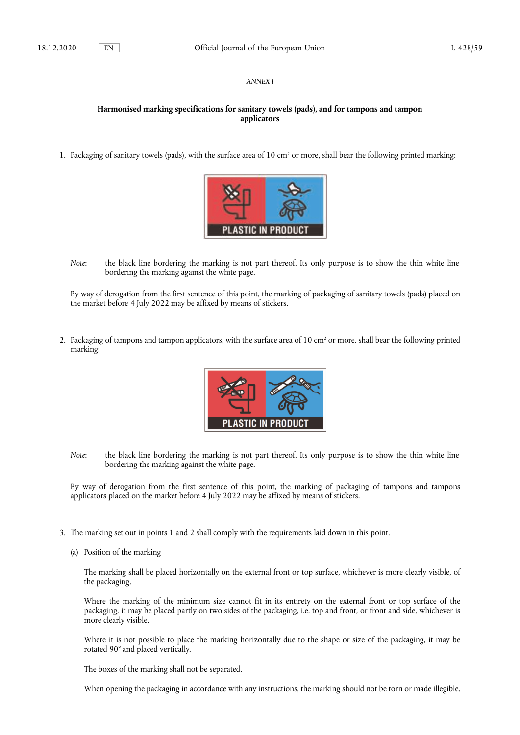## *ANNEX I*

# **Harmonised marking specifications for sanitary towels (pads), and for tampons and tampon applicators**

1. Packaging of sanitary towels (pads), with the surface area of 10 cm2 or more, shall bear the following printed marking:



*Note*: the black line bordering the marking is not part thereof. Its only purpose is to show the thin white line bordering the marking against the white page.

By way of derogation from the first sentence of this point, the marking of packaging of sanitary towels (pads) placed on the market before 4 July 2022 may be affixed by means of stickers.

2. Packaging of tampons and tampon applicators, with the surface area of 10 cm<sup>2</sup> or more, shall bear the following printed marking:



*Note*: the black line bordering the marking is not part thereof. Its only purpose is to show the thin white line bordering the marking against the white page.

By way of derogation from the first sentence of this point, the marking of packaging of tampons and tampons applicators placed on the market before 4 July 2022 may be affixed by means of stickers.

- 3. The marking set out in points 1 and 2 shall comply with the requirements laid down in this point.
	- (a) Position of the marking

The marking shall be placed horizontally on the external front or top surface, whichever is more clearly visible, of the packaging.

Where the marking of the minimum size cannot fit in its entirety on the external front or top surface of the packaging, it may be placed partly on two sides of the packaging, i.e. top and front, or front and side, whichever is more clearly visible.

Where it is not possible to place the marking horizontally due to the shape or size of the packaging, it may be rotated 90° and placed vertically.

The boxes of the marking shall not be separated.

When opening the packaging in accordance with any instructions, the marking should not be torn or made illegible.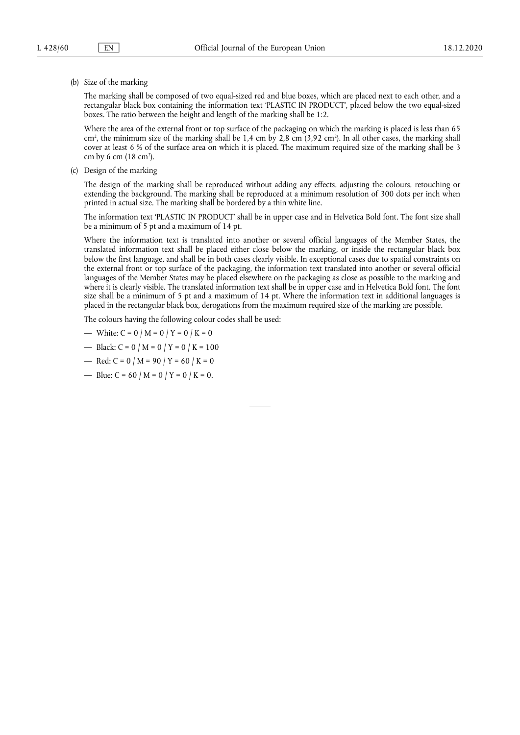(b) Size of the marking

The marking shall be composed of two equal-sized red and blue boxes, which are placed next to each other, and a rectangular black box containing the information text 'PLASTIC IN PRODUCT', placed below the two equal-sized boxes. The ratio between the height and length of the marking shall be 1:2.

Where the area of the external front or top surface of the packaging on which the marking is placed is less than 65 cm<sup>2</sup>, the minimum size of the marking shall be 1,4 cm by 2,8 cm (3,92 cm<sup>2</sup>). In all other cases, the marking shall cover at least 6 % of the surface area on which it is placed. The maximum required size of the marking shall be 3 cm by 6 cm (18 cm<sup>2</sup>).

(c) Design of the marking

The design of the marking shall be reproduced without adding any effects, adjusting the colours, retouching or extending the background. The marking shall be reproduced at a minimum resolution of 300 dots per inch when printed in actual size. The marking shall be bordered by a thin white line.

The information text 'PLASTIC IN PRODUCT' shall be in upper case and in Helvetica Bold font. The font size shall be a minimum of 5 pt and a maximum of 14 pt.

Where the information text is translated into another or several official languages of the Member States, the translated information text shall be placed either close below the marking, or inside the rectangular black box below the first language, and shall be in both cases clearly visible. In exceptional cases due to spatial constraints on the external front or top surface of the packaging, the information text translated into another or several official languages of the Member States may be placed elsewhere on the packaging as close as possible to the marking and where it is clearly visible. The translated information text shall be in upper case and in Helvetica Bold font. The font size shall be a minimum of 5 pt and a maximum of 14 pt. Where the information text in additional languages is placed in the rectangular black box, derogations from the maximum required size of the marking are possible.

The colours having the following colour codes shall be used:

- White:  $C = 0 / M = 0 / Y = 0 / K = 0$
- Black:  $C = 0 / M = 0 / Y = 0 / K = 100$
- Red:  $C = 0 / M = 90 / Y = 60 / K = 0$
- Blue:  $C = 60 / M = 0 / Y = 0 / K = 0$ .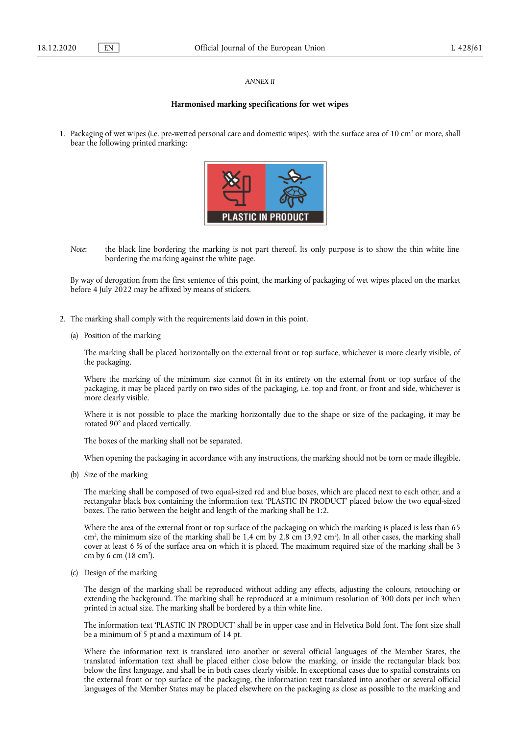#### *ANNEX II*

### **Harmonised marking specifications for wet wipes**

1. Packaging of wet wipes (i.e. pre-wetted personal care and domestic wipes), with the surface area of  $10 \text{ cm}^2$  or more, shall bear the following printed marking:



*Note*: the black line bordering the marking is not part thereof. Its only purpose is to show the thin white line bordering the marking against the white page.

By way of derogation from the first sentence of this point, the marking of packaging of wet wipes placed on the market before 4 July 2022 may be affixed by means of stickers.

- 2. The marking shall comply with the requirements laid down in this point.
	- (a) Position of the marking

The marking shall be placed horizontally on the external front or top surface, whichever is more clearly visible, of the packaging.

Where the marking of the minimum size cannot fit in its entirety on the external front or top surface of the packaging, it may be placed partly on two sides of the packaging, i.e. top and front, or front and side, whichever is more clearly visible.

Where it is not possible to place the marking horizontally due to the shape or size of the packaging, it may be rotated 90° and placed vertically.

The boxes of the marking shall not be separated.

When opening the packaging in accordance with any instructions, the marking should not be torn or made illegible.

(b) Size of the marking

The marking shall be composed of two equal-sized red and blue boxes, which are placed next to each other, and a rectangular black box containing the information text 'PLASTIC IN PRODUCT' placed below the two equal-sized boxes. The ratio between the height and length of the marking shall be 1:2.

Where the area of the external front or top surface of the packaging on which the marking is placed is less than 65 cm2 , the minimum size of the marking shall be 1,4 cm by 2,8 cm (3,92 cm2 ). In all other cases, the marking shall cover at least 6 % of the surface area on which it is placed. The maximum required size of the marking shall be 3 cm by 6 cm (18 cm2 ).

(c) Design of the marking

The design of the marking shall be reproduced without adding any effects, adjusting the colours, retouching or extending the background. The marking shall be reproduced at a minimum resolution of 300 dots per inch when printed in actual size. The marking shall be bordered by a thin white line.

The information text 'PLASTIC IN PRODUCT' shall be in upper case and in Helvetica Bold font. The font size shall be a minimum of 5 pt and a maximum of 14 pt.

Where the information text is translated into another or several official languages of the Member States, the translated information text shall be placed either close below the marking, or inside the rectangular black box below the first language, and shall be in both cases clearly visible. In exceptional cases due to spatial constraints on the external front or top surface of the packaging, the information text translated into another or several official languages of the Member States may be placed elsewhere on the packaging as close as possible to the marking and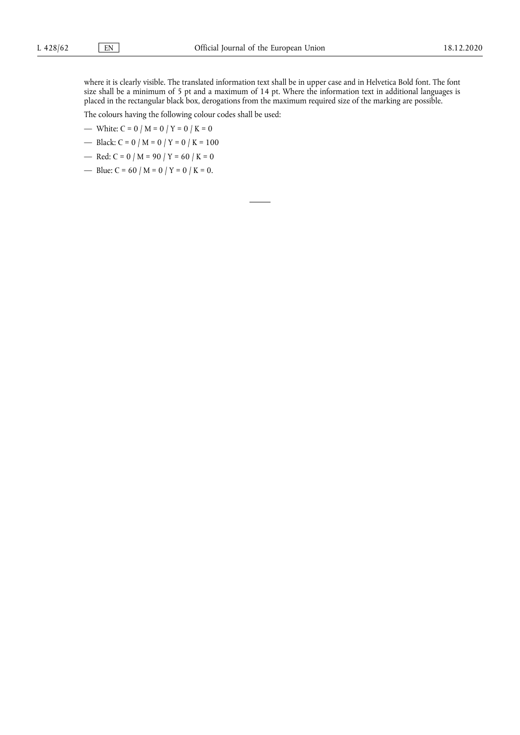where it is clearly visible. The translated information text shall be in upper case and in Helvetica Bold font. The font size shall be a minimum of 5 pt and a maximum of 14 pt. Where the information text in additional languages is placed in the rectangular black box, derogations from the maximum required size of the marking are possible.

The colours having the following colour codes shall be used:

- White:  $C = 0 / M = 0 / Y = 0 / K = 0$
- Black:  $C = 0 / M = 0 / Y = 0 / K = 100$
- Red:  $C = 0 / M = 90 / Y = 60 / K = 0$
- Blue:  $C = 60 / M = 0 / Y = 0 / K = 0$ .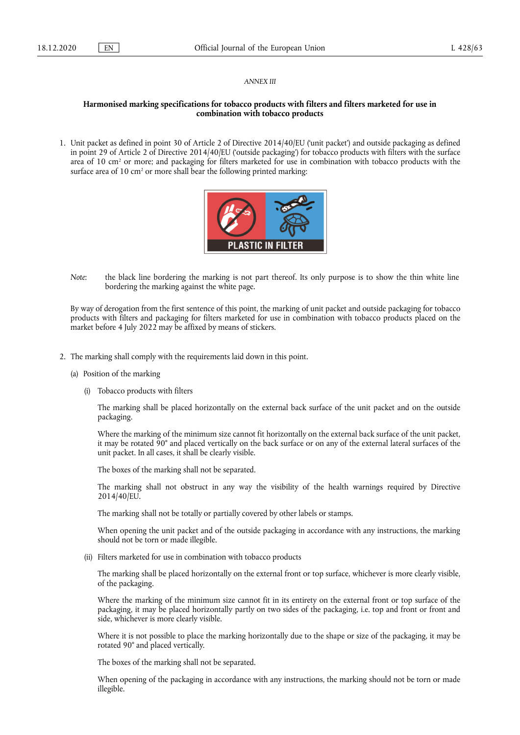#### *ANNEX III*

## **Harmonised marking specifications for tobacco products with filters and filters marketed for use in combination with tobacco products**

1. Unit packet as defined in point 30 of Article 2 of Directive 2014/40/EU ('unit packet') and outside packaging as defined in point 29 of Article 2 of Directive 2014/40/EU ('outside packaging') for tobacco products with filters with the surface area of 10 cm<sup>2</sup> or more; and packaging for filters marketed for use in combination with tobacco products with the surface area of 10 cm<sup>2</sup> or more shall bear the following printed marking:



*Note*: the black line bordering the marking is not part thereof. Its only purpose is to show the thin white line bordering the marking against the white page.

By way of derogation from the first sentence of this point, the marking of unit packet and outside packaging for tobacco products with filters and packaging for filters marketed for use in combination with tobacco products placed on the market before 4 July 2022 may be affixed by means of stickers.

- 2. The marking shall comply with the requirements laid down in this point.
	- (a) Position of the marking
		- (i) Tobacco products with filters

The marking shall be placed horizontally on the external back surface of the unit packet and on the outside packaging.

Where the marking of the minimum size cannot fit horizontally on the external back surface of the unit packet, it may be rotated 90° and placed vertically on the back surface or on any of the external lateral surfaces of the unit packet. In all cases, it shall be clearly visible.

The boxes of the marking shall not be separated.

The marking shall not obstruct in any way the visibility of the health warnings required by Directive 2014/40/EU.

The marking shall not be totally or partially covered by other labels or stamps.

When opening the unit packet and of the outside packaging in accordance with any instructions, the marking should not be torn or made illegible.

(ii) Filters marketed for use in combination with tobacco products

The marking shall be placed horizontally on the external front or top surface, whichever is more clearly visible, of the packaging.

Where the marking of the minimum size cannot fit in its entirety on the external front or top surface of the packaging, it may be placed horizontally partly on two sides of the packaging, i.e. top and front or front and side, whichever is more clearly visible.

Where it is not possible to place the marking horizontally due to the shape or size of the packaging, it may be rotated 90° and placed vertically.

The boxes of the marking shall not be separated.

When opening of the packaging in accordance with any instructions, the marking should not be torn or made illegible.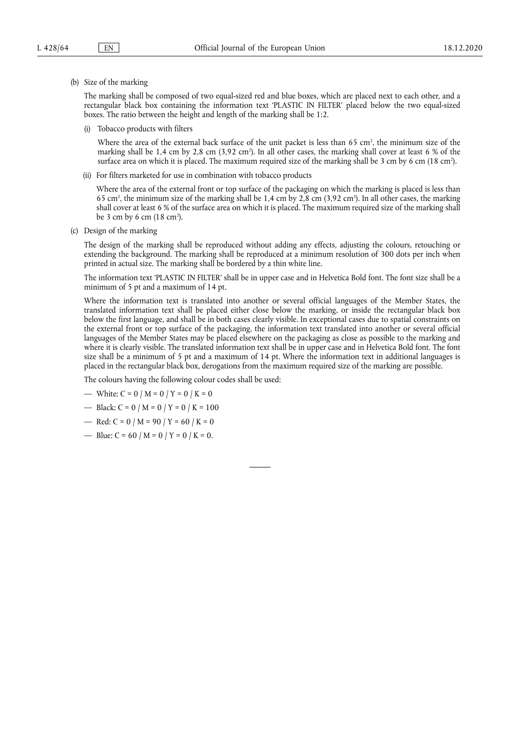(b) Size of the marking

The marking shall be composed of two equal-sized red and blue boxes, which are placed next to each other, and a rectangular black box containing the information text 'PLASTIC IN FILTER' placed below the two equal-sized boxes. The ratio between the height and length of the marking shall be 1:2.

(i) Tobacco products with filters

Where the area of the external back surface of the unit packet is less than 65 cm<sup>2</sup>, the minimum size of the marking shall be 1,4 cm by 2,8 cm (3,92 cm2 ). In all other cases, the marking shall cover at least 6 % of the surface area on which it is placed. The maximum required size of the marking shall be 3 cm by 6 cm (18 cm<sup>2</sup>).

(ii) For filters marketed for use in combination with tobacco products

Where the area of the external front or top surface of the packaging on which the marking is placed is less than 65 cm2 , the minimum size of the marking shall be 1,4 cm by 2,8 cm (3,92 cm2 ). In all other cases, the marking shall cover at least 6 % of the surface area on which it is placed. The maximum required size of the marking shall be 3 cm by 6 cm (18 cm<sup>2</sup>).

(c) Design of the marking

The design of the marking shall be reproduced without adding any effects, adjusting the colours, retouching or extending the background. The marking shall be reproduced at a minimum resolution of 300 dots per inch when printed in actual size. The marking shall be bordered by a thin white line.

The information text 'PLASTIC IN FILTER' shall be in upper case and in Helvetica Bold font. The font size shall be a minimum of 5 pt and a maximum of 14 pt.

Where the information text is translated into another or several official languages of the Member States, the translated information text shall be placed either close below the marking, or inside the rectangular black box below the first language, and shall be in both cases clearly visible. In exceptional cases due to spatial constraints on the external front or top surface of the packaging, the information text translated into another or several official languages of the Member States may be placed elsewhere on the packaging as close as possible to the marking and where it is clearly visible. The translated information text shall be in upper case and in Helvetica Bold font. The font size shall be a minimum of 5 pt and a maximum of 14 pt. Where the information text in additional languages is placed in the rectangular black box, derogations from the maximum required size of the marking are possible.

The colours having the following colour codes shall be used:

- White:  $C = 0 / M = 0 / Y = 0 / K = 0$
- Black:  $C = 0 / M = 0 / Y = 0 / K = 100$
- Red:  $C = 0 / M = 90 / Y = 60 / K = 0$
- Blue:  $C = 60 / M = 0 / Y = 0 / K = 0$ .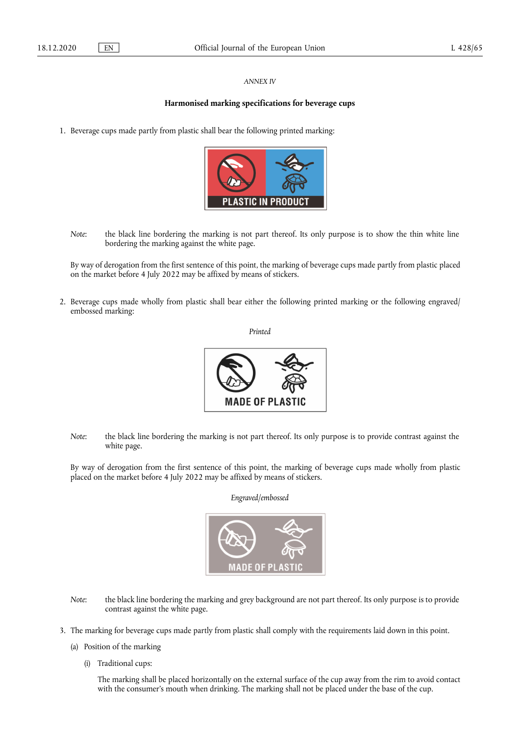## *ANNEX IV*

# **Harmonised marking specifications for beverage cups**

1. Beverage cups made partly from plastic shall bear the following printed marking:



*Note*: the black line bordering the marking is not part thereof. Its only purpose is to show the thin white line bordering the marking against the white page.

By way of derogation from the first sentence of this point, the marking of beverage cups made partly from plastic placed on the market before 4 July 2022 may be affixed by means of stickers.

2. Beverage cups made wholly from plastic shall bear either the following printed marking or the following engraved/ embossed marking:

*Printed* 



*Note*: the black line bordering the marking is not part thereof. Its only purpose is to provide contrast against the white page.

By way of derogation from the first sentence of this point, the marking of beverage cups made wholly from plastic placed on the market before 4 July 2022 may be affixed by means of stickers.

*Engraved/embossed* 



- *Note*: the black line bordering the marking and grey background are not part thereof. Its only purpose is to provide contrast against the white page.
- 3. The marking for beverage cups made partly from plastic shall comply with the requirements laid down in this point.
	- (a) Position of the marking
		- (i) Traditional cups:

The marking shall be placed horizontally on the external surface of the cup away from the rim to avoid contact with the consumer's mouth when drinking. The marking shall not be placed under the base of the cup.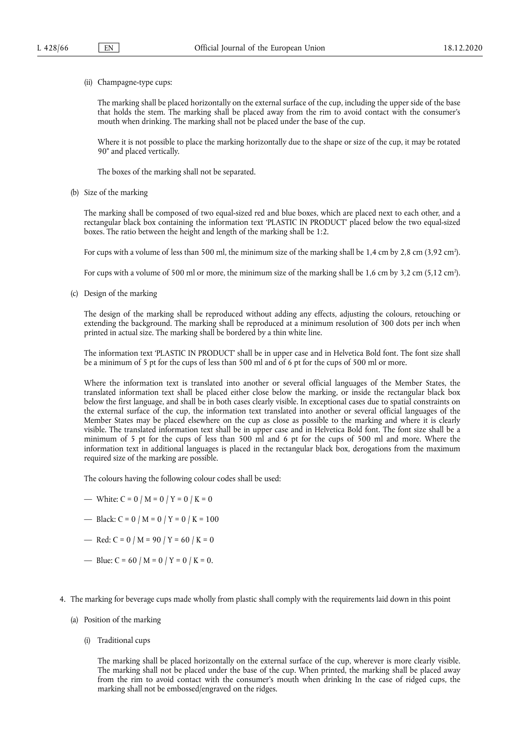(ii) Champagne-type cups:

The marking shall be placed horizontally on the external surface of the cup, including the upper side of the base that holds the stem. The marking shall be placed away from the rim to avoid contact with the consumer's mouth when drinking. The marking shall not be placed under the base of the cup.

Where it is not possible to place the marking horizontally due to the shape or size of the cup, it may be rotated 90° and placed vertically.

The boxes of the marking shall not be separated.

(b) Size of the marking

The marking shall be composed of two equal-sized red and blue boxes, which are placed next to each other, and a rectangular black box containing the information text 'PLASTIC IN PRODUCT' placed below the two equal-sized boxes. The ratio between the height and length of the marking shall be 1:2.

For cups with a volume of less than 500 ml, the minimum size of the marking shall be 1,4 cm by 2,8 cm (3,92 cm2 ).

For cups with a volume of 500 ml or more, the minimum size of the marking shall be 1,6 cm by 3,2 cm (5,12 cm<sup>2</sup>).

(c) Design of the marking

The design of the marking shall be reproduced without adding any effects, adjusting the colours, retouching or extending the background. The marking shall be reproduced at a minimum resolution of 300 dots per inch when printed in actual size. The marking shall be bordered by a thin white line.

The information text 'PLASTIC IN PRODUCT' shall be in upper case and in Helvetica Bold font. The font size shall be a minimum of 5 pt for the cups of less than 500 ml and of 6 pt for the cups of 500 ml or more.

Where the information text is translated into another or several official languages of the Member States, the translated information text shall be placed either close below the marking, or inside the rectangular black box below the first language, and shall be in both cases clearly visible. In exceptional cases due to spatial constraints on the external surface of the cup, the information text translated into another or several official languages of the Member States may be placed elsewhere on the cup as close as possible to the marking and where it is clearly visible. The translated information text shall be in upper case and in Helvetica Bold font. The font size shall be a minimum of 5 pt for the cups of less than 500 ml and 6 pt for the cups of 500 ml and more. Where the information text in additional languages is placed in the rectangular black box, derogations from the maximum required size of the marking are possible.

The colours having the following colour codes shall be used:

- White:  $C = 0 / M = 0 / Y = 0 / K = 0$
- Black:  $C = 0 / M = 0 / Y = 0 / K = 100$
- Red:  $C = 0 / M = 90 / Y = 60 / K = 0$
- Blue:  $C = 60 / M = 0 / Y = 0 / K = 0$ .
- 4. The marking for beverage cups made wholly from plastic shall comply with the requirements laid down in this point
	- (a) Position of the marking
		- (i) Traditional cups

The marking shall be placed horizontally on the external surface of the cup, wherever is more clearly visible. The marking shall not be placed under the base of the cup. When printed, the marking shall be placed away from the rim to avoid contact with the consumer's mouth when drinking In the case of ridged cups, the marking shall not be embossed/engraved on the ridges.